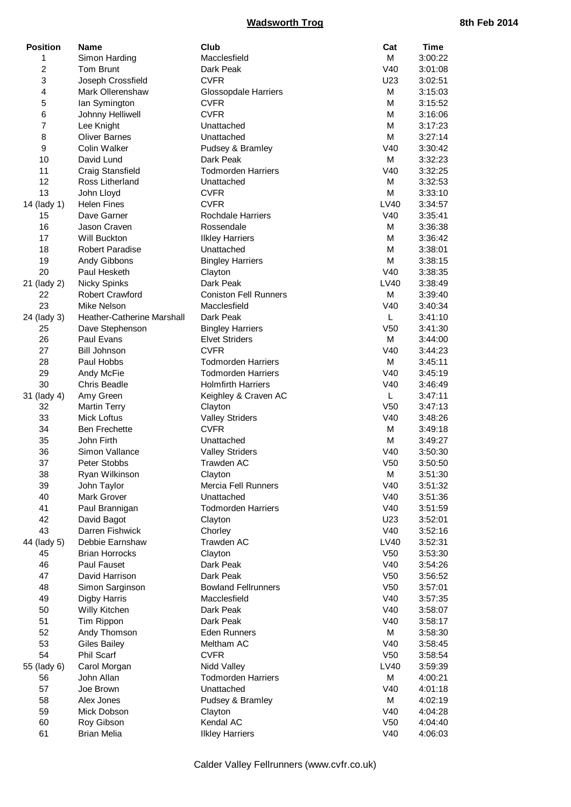| <b>Position</b> | Name                       | Club                         | Cat             | <b>Time</b> |
|-----------------|----------------------------|------------------------------|-----------------|-------------|
| 1               | Simon Harding              | Macclesfield                 | М               | 3:00:22     |
| $\overline{c}$  | Tom Brunt                  | Dark Peak                    | V40             | 3:01:08     |
| 3               | Joseph Crossfield          | <b>CVFR</b>                  | U23             | 3:02:51     |
| 4               | Mark Ollerenshaw           | Glossopdale Harriers         | М               | 3:15:03     |
| 5               | lan Symington              | <b>CVFR</b>                  | М               | 3:15:52     |
| 6               | Johnny Helliwell           | <b>CVFR</b>                  | М               | 3:16:06     |
| 7               | Lee Knight                 | Unattached                   | М               | 3:17:23     |
| 8               | <b>Oliver Barnes</b>       | Unattached                   | М               | 3:27:14     |
| 9               | Colin Walker               | Pudsey & Bramley             | V40             | 3:30:42     |
| 10              | David Lund                 | Dark Peak                    | М               | 3:32:23     |
| 11              | Craig Stansfield           | <b>Todmorden Harriers</b>    | V40             | 3:32:25     |
| 12              | Ross Litherland            | Unattached                   | М               | 3:32:53     |
| 13              | John Lloyd                 | <b>CVFR</b>                  | М               | 3:33:10     |
| 14 (lady 1)     | <b>Helen Fines</b>         | <b>CVFR</b>                  | LV40            | 3:34:57     |
| 15              | Dave Garner                | <b>Rochdale Harriers</b>     | V40             | 3:35:41     |
| 16              | Jason Craven               | Rossendale                   | М               | 3:36:38     |
| 17              | Will Buckton               | <b>Ilkley Harriers</b>       | м               | 3:36:42     |
| 18              | <b>Robert Paradise</b>     | Unattached                   | M               | 3:38:01     |
| 19              | Andy Gibbons               | <b>Bingley Harriers</b>      | М               | 3:38:15     |
| 20              | Paul Hesketh               | Clayton                      | V40             | 3:38:35     |
| 21 (lady 2)     | <b>Nicky Spinks</b>        | Dark Peak                    | LV40            | 3:38:49     |
| 22              | Robert Crawford            | <b>Coniston Fell Runners</b> | M               | 3:39:40     |
| 23              | Mike Nelson                | Macclesfield                 | V40             | 3:40:34     |
| 24 (lady 3)     | Heather-Catherine Marshall | Dark Peak                    | L.              | 3:41:10     |
| 25              | Dave Stephenson            | <b>Bingley Harriers</b>      | V <sub>50</sub> | 3:41:30     |
| 26              | Paul Evans                 | <b>Elvet Striders</b>        | М               | 3:44:00     |
| 27              | <b>Bill Johnson</b>        | <b>CVFR</b>                  | V40             | 3:44:23     |
| 28              | Paul Hobbs                 | <b>Todmorden Harriers</b>    | м               | 3:45:11     |
| 29              | Andy McFie                 | <b>Todmorden Harriers</b>    | V40             | 3:45:19     |
| 30              | <b>Chris Beadle</b>        | <b>Holmfirth Harriers</b>    | V40             | 3:46:49     |
| 31 (lady 4)     | Amy Green                  | Keighley & Craven AC         | L               | 3:47:11     |
| 32              | <b>Martin Terry</b>        | Clayton                      | V <sub>50</sub> | 3:47:13     |
| 33              | <b>Mick Loftus</b>         | <b>Valley Striders</b>       | V40             | 3:48:26     |
| 34              | <b>Ben Frechette</b>       | <b>CVFR</b>                  | М               | 3:49:18     |
| 35              | John Firth                 | Unattached                   | М               | 3:49:27     |
| 36              | Simon Vallance             | <b>Valley Striders</b>       | V40             | 3:50:30     |
| 37              | Peter Stobbs               | Trawden AC                   | V <sub>50</sub> | 3:50:50     |
| 38              | Ryan Wilkinson             | Clayton                      | М               | 3:51:30     |
| 39              | John Taylor                | Mercia Fell Runners          | V40             | 3:51:32     |
| 40              | Mark Grover                | Unattached                   | V40             | 3:51:36     |
| 41              | Paul Brannigan             | <b>Todmorden Harriers</b>    | V40             | 3:51:59     |
| 42              | David Bagot                | Clayton                      | U23             | 3:52:01     |
| 43              | Darren Fishwick            | Chorley                      | V40             | 3:52:16     |
| 44 (lady 5)     | Debbie Earnshaw            | Trawden AC                   | LV40            | 3:52:31     |
| 45              | <b>Brian Horrocks</b>      | Clayton                      | V <sub>50</sub> | 3:53:30     |
| 46              | Paul Fauset                | Dark Peak                    | V40             | 3:54:26     |
| 47              | David Harrison             | Dark Peak                    | V <sub>50</sub> | 3:56:52     |
| 48              | Simon Sarginson            | <b>Bowland Fellrunners</b>   | V <sub>50</sub> | 3:57:01     |
| 49              | Digby Harris               | Macclesfield                 | V40             | 3:57:35     |
| 50              | Willy Kitchen              | Dark Peak                    | V40             | 3:58:07     |
| 51              | Tim Rippon                 | Dark Peak                    | V40             | 3:58:17     |
| 52              | Andy Thomson               | Eden Runners                 | М               | 3:58:30     |
| 53              | <b>Giles Bailey</b>        | Meltham AC                   | V40             | 3:58:45     |
| 54              | Phil Scarf                 | <b>CVFR</b>                  | V <sub>50</sub> | 3:58:54     |
| 55 (lady 6)     | Carol Morgan               | Nidd Valley                  | LV40            | 3:59:39     |
| 56              | John Allan                 | <b>Todmorden Harriers</b>    | М               | 4:00:21     |
| 57              | Joe Brown                  | Unattached                   | V40             | 4:01:18     |
| 58              | Alex Jones                 | Pudsey & Bramley             | М               |             |
|                 |                            |                              |                 | 4:02:19     |
| 59              | Mick Dobson                | Clayton                      | V40             | 4:04:28     |
| 60              | Roy Gibson                 | Kendal AC                    | V <sub>50</sub> | 4:04:40     |
| 61              | <b>Brian Melia</b>         | <b>Ilkley Harriers</b>       | V40             | 4:06:03     |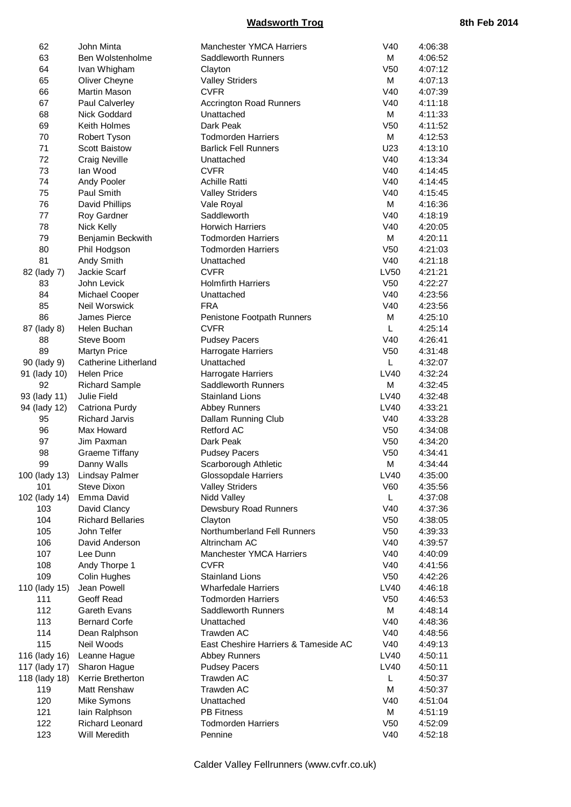| 62            | John Minta               | Manchester YMCA Harriers             | V40             | 4:06:38 |
|---------------|--------------------------|--------------------------------------|-----------------|---------|
| 63            | Ben Wolstenholme         | Saddleworth Runners                  | М               | 4:06:52 |
| 64            | Ivan Whigham             | Clayton                              | V <sub>50</sub> | 4:07:12 |
| 65            | Oliver Cheyne            | <b>Valley Striders</b>               | М               | 4:07:13 |
| 66            | Martin Mason             | <b>CVFR</b>                          | V40             | 4:07:39 |
| 67            | Paul Calverley           | Accrington Road Runners              | V40             | 4:11:18 |
| 68            | Nick Goddard             | Unattached                           | М               | 4:11:33 |
| 69            | Keith Holmes             | Dark Peak                            | V <sub>50</sub> | 4:11:52 |
| 70            | Robert Tyson             | <b>Todmorden Harriers</b>            | М               | 4:12:53 |
| 71            | <b>Scott Baistow</b>     | <b>Barlick Fell Runners</b>          | U23             |         |
|               |                          |                                      | V40             | 4:13:10 |
| 72            | <b>Craig Neville</b>     | Unattached                           |                 | 4:13:34 |
| 73            | lan Wood                 | <b>CVFR</b>                          | V40             | 4:14:45 |
| 74            | Andy Pooler              | <b>Achille Ratti</b>                 | V40             | 4:14:45 |
| 75            | Paul Smith               | <b>Valley Striders</b>               | V40             | 4:15:45 |
| 76            | David Phillips           | Vale Royal                           | M               | 4:16:36 |
| 77            | Roy Gardner              | Saddleworth                          | V40             | 4:18:19 |
| 78            | Nick Kelly               | <b>Horwich Harriers</b>              | V40             | 4:20:05 |
| 79            | Benjamin Beckwith        | <b>Todmorden Harriers</b>            | М               | 4:20:11 |
| 80            | Phil Hodgson             | <b>Todmorden Harriers</b>            | V <sub>50</sub> | 4:21:03 |
| 81            | Andy Smith               | Unattached                           | V40             | 4:21:18 |
| 82 (lady 7)   | Jackie Scarf             | <b>CVFR</b>                          | LV50            | 4:21:21 |
| 83            | John Levick              | <b>Holmfirth Harriers</b>            | V <sub>50</sub> | 4:22:27 |
| 84            | Michael Cooper           | Unattached                           | V40             | 4:23:56 |
| 85            | Neil Worswick            | <b>FRA</b>                           | V40             | 4:23:56 |
| 86            | James Pierce             | Penistone Footpath Runners           | М               | 4:25:10 |
|               |                          | <b>CVFR</b>                          | L               |         |
| 87 (lady 8)   | Helen Buchan             |                                      |                 | 4:25:14 |
| 88            | Steve Boom               | <b>Pudsey Pacers</b>                 | V40             | 4:26:41 |
| 89            | <b>Martyn Price</b>      | Harrogate Harriers                   | V <sub>50</sub> | 4:31:48 |
| 90 (lady 9)   | Catherine Litherland     | Unattached                           | L.              | 4:32:07 |
| 91 (lady 10)  | <b>Helen Price</b>       | Harrogate Harriers                   | LV40            | 4:32:24 |
| 92            | <b>Richard Sample</b>    | Saddleworth Runners                  | М               | 4:32:45 |
| 93 (lady 11)  | <b>Julie Field</b>       | <b>Stainland Lions</b>               | LV40            | 4:32:48 |
| 94 (lady 12)  | Catriona Purdy           | <b>Abbey Runners</b>                 | LV40            | 4:33:21 |
| 95            | <b>Richard Jarvis</b>    | Dallam Running Club                  | V40             | 4:33:28 |
| 96            | Max Howard               | <b>Retford AC</b>                    | V <sub>50</sub> | 4:34:08 |
| 97            | Jim Paxman               | Dark Peak                            | V <sub>50</sub> | 4:34:20 |
| 98            | <b>Graeme Tiffany</b>    | <b>Pudsey Pacers</b>                 | V <sub>50</sub> | 4:34:41 |
| 99            | Danny Walls              | Scarborough Athletic                 | М               | 4:34:44 |
| 100 (lady 13) | <b>Lindsay Palmer</b>    | Glossopdale Harriers                 | <b>LV40</b>     | 4:35:00 |
| 101           | <b>Steve Dixon</b>       | <b>Valley Striders</b>               | V60             | 4:35:56 |
| 102 (lady 14) | Emma David               | Nidd Valley                          | L.              | 4:37:08 |
| 103           | David Clancy             | Dewsbury Road Runners                | V40             | 4:37:36 |
| 104           |                          |                                      |                 |         |
|               | <b>Richard Bellaries</b> | Clayton                              | V <sub>50</sub> | 4:38:05 |
| 105           | John Telfer              | Northumberland Fell Runners          | V <sub>50</sub> | 4:39:33 |
| 106           | David Anderson           | Altrincham AC                        | V40             | 4:39:57 |
| 107           | Lee Dunn                 | <b>Manchester YMCA Harriers</b>      | V40             | 4:40:09 |
| 108           | Andy Thorpe 1            | <b>CVFR</b>                          | V40             | 4:41:56 |
| 109           | Colin Hughes             | <b>Stainland Lions</b>               | V <sub>50</sub> | 4:42:26 |
| 110 (lady 15) | Jean Powell              | <b>Wharfedale Harriers</b>           | LV40            | 4:46:18 |
| 111           | Geoff Read               | <b>Todmorden Harriers</b>            | V <sub>50</sub> | 4:46:53 |
| 112           | Gareth Evans             | Saddleworth Runners                  | М               | 4:48:14 |
| 113           | <b>Bernard Corfe</b>     | Unattached                           | V40             | 4:48:36 |
| 114           | Dean Ralphson            | Trawden AC                           | V40             | 4:48:56 |
| 115           | Neil Woods               | East Cheshire Harriers & Tameside AC | V40             | 4:49:13 |
| 116 (lady 16) | Leanne Hague             | <b>Abbey Runners</b>                 | LV40            | 4:50:11 |
| 117 (lady 17) | Sharon Hague             | <b>Pudsey Pacers</b>                 | LV40            | 4:50:11 |
| 118 (lady 18) | Kerrie Bretherton        | Trawden AC                           | L               | 4:50:37 |
| 119           | Matt Renshaw             | Trawden AC                           | M               | 4:50:37 |
| 120           |                          | Unattached                           | V40             |         |
|               | Mike Symons              |                                      |                 | 4:51:04 |
| 121           | lain Ralphson            | <b>PB Fitness</b>                    | M               | 4:51:19 |
| 122           | Richard Leonard          | <b>Todmorden Harriers</b>            | V <sub>50</sub> | 4:52:09 |
| 123           | Will Meredith            | Pennine                              | V40             | 4:52:18 |

Calder Valley Fellrunners (www.cvfr.co.uk)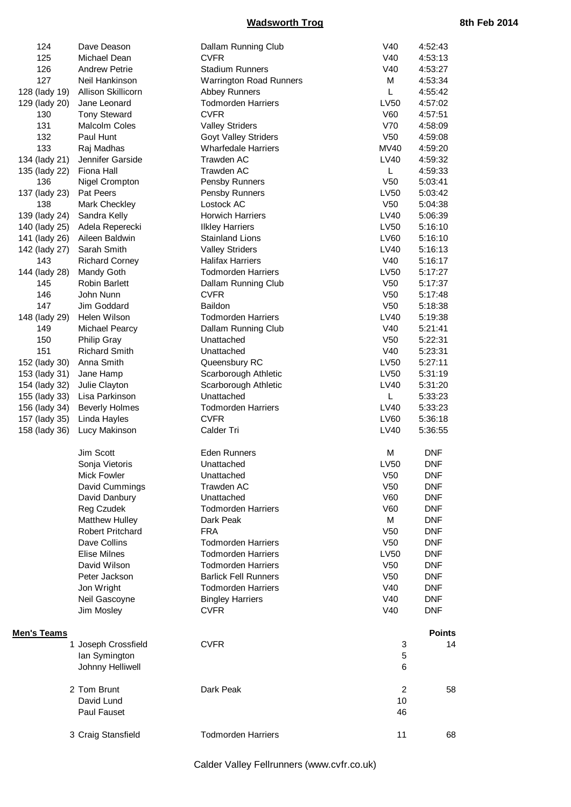| 124           | Dave Deason             | Dallam Running Club            | V40             | 4:52:43       |
|---------------|-------------------------|--------------------------------|-----------------|---------------|
| 125           | Michael Dean            | <b>CVFR</b>                    | V40             | 4:53:13       |
| 126           | <b>Andrew Petrie</b>    | <b>Stadium Runners</b>         | V40             | 4:53:27       |
| 127           | Neil Hankinson          | <b>Warrington Road Runners</b> | M               | 4:53:34       |
| 128 (lady 19) | Allison Skillicorn      | Abbey Runners                  | L               | 4:55:42       |
| 129 (lady 20) | Jane Leonard            | <b>Todmorden Harriers</b>      | LV50            | 4:57:02       |
| 130           | <b>Tony Steward</b>     | <b>CVFR</b>                    | V60             | 4:57:51       |
| 131           | Malcolm Coles           | <b>Valley Striders</b>         | V70             | 4:58:09       |
| 132           | Paul Hunt               | Goyt Valley Striders           | V <sub>50</sub> | 4:59:08       |
| 133           | Raj Madhas              | <b>Wharfedale Harriers</b>     | <b>MV40</b>     | 4:59:20       |
| 134 (lady 21) | Jennifer Garside        | Trawden AC                     | LV40            | 4:59:32       |
| 135 (lady 22) | Fiona Hall              | Trawden AC                     | L               | 4:59:33       |
| 136           | Nigel Crompton          | Pensby Runners                 | V <sub>50</sub> | 5:03:41       |
| 137 (lady 23) | Pat Peers               | Pensby Runners                 | LV50            | 5:03:42       |
| 138           | Mark Checkley           | Lostock AC                     | V <sub>50</sub> | 5:04:38       |
| 139 (lady 24) | Sandra Kelly            | <b>Horwich Harriers</b>        | LV40            | 5:06:39       |
| 140 (lady 25) | Adela Reperecki         | <b>Ilkley Harriers</b>         | LV50            | 5:16:10       |
| 141 (lady 26) | Aileen Baldwin          | <b>Stainland Lions</b>         | LV60            | 5:16:10       |
| 142 (lady 27) | Sarah Smith             | <b>Valley Striders</b>         | LV40            | 5:16:13       |
| 143           | <b>Richard Corney</b>   | <b>Halifax Harriers</b>        | V40             | 5:16:17       |
| 144 (lady 28) | Mandy Goth              | <b>Todmorden Harriers</b>      | LV50            | 5:17:27       |
| 145           | <b>Robin Barlett</b>    | Dallam Running Club            | V <sub>50</sub> | 5:17:37       |
| 146           | John Nunn               | <b>CVFR</b>                    | V <sub>50</sub> | 5:17:48       |
| 147           | Jim Goddard             | Baildon                        | V <sub>50</sub> | 5:18:38       |
| 148 (lady 29) | Helen Wilson            | <b>Todmorden Harriers</b>      | LV40            | 5:19:38       |
| 149           | Michael Pearcy          | Dallam Running Club            | V40             | 5:21:41       |
| 150           | <b>Philip Gray</b>      | Unattached                     | V <sub>50</sub> | 5:22:31       |
| 151           | <b>Richard Smith</b>    | Unattached                     | V40             | 5:23:31       |
| 152 (lady 30) | Anna Smith              | Queensbury RC                  | LV50            | 5:27:11       |
| 153 (lady 31) | Jane Hamp               | Scarborough Athletic           | LV50            | 5:31:19       |
| 154 (lady 32) | Julie Clayton           | Scarborough Athletic           | <b>LV40</b>     | 5:31:20       |
| 155 (lady 33) | Lisa Parkinson          | Unattached                     | L               | 5:33:23       |
| 156 (lady 34) | <b>Beverly Holmes</b>   | <b>Todmorden Harriers</b>      | LV40            | 5:33:23       |
| 157 (lady 35) | Linda Hayles            | <b>CVFR</b>                    | LV60            | 5:36:18       |
| 158 (lady 36) | Lucy Makinson           | Calder Tri                     | LV40            | 5:36:55       |
|               | Jim Scott               | <b>Eden Runners</b>            | М               | <b>DNF</b>    |
|               | Sonja Vietoris          | Unattached                     | <b>LV50</b>     | <b>DNF</b>    |
|               | Mick Fowler             | Unattached                     | V <sub>50</sub> | <b>DNF</b>    |
|               | David Cummings          | Trawden AC                     | V <sub>50</sub> | <b>DNF</b>    |
|               | David Danbury           | Unattached                     | V60             | <b>DNF</b>    |
|               | Reg Czudek              | <b>Todmorden Harriers</b>      | V60             | <b>DNF</b>    |
|               | <b>Matthew Hulley</b>   | Dark Peak                      | М               | <b>DNF</b>    |
|               | <b>Robert Pritchard</b> | <b>FRA</b>                     | V <sub>50</sub> | <b>DNF</b>    |
|               | Dave Collins            | <b>Todmorden Harriers</b>      | V <sub>50</sub> | <b>DNF</b>    |
|               | <b>Elise Milnes</b>     | <b>Todmorden Harriers</b>      | <b>LV50</b>     | <b>DNF</b>    |
|               | David Wilson            | <b>Todmorden Harriers</b>      | V <sub>50</sub> | <b>DNF</b>    |
|               | Peter Jackson           | <b>Barlick Fell Runners</b>    | V <sub>50</sub> | <b>DNF</b>    |
|               | Jon Wright              | <b>Todmorden Harriers</b>      | V40             | <b>DNF</b>    |
|               | Neil Gascoyne           | <b>Bingley Harriers</b>        | V40             | <b>DNF</b>    |
|               | Jim Mosley              | <b>CVFR</b>                    | V40             | <b>DNF</b>    |
| Men's Teams   |                         |                                |                 | <b>Points</b> |
|               | 1 Joseph Crossfield     | <b>CVFR</b>                    | 3               | 14            |
|               | lan Symington           |                                | 5               |               |
|               | Johnny Helliwell        |                                | 6               |               |
|               | 2 Tom Brunt             | Dark Peak                      | $\overline{2}$  | 58            |
|               | David Lund              |                                | 10              |               |
|               | Paul Fauset             |                                | 46              |               |
|               | 3 Craig Stansfield      | <b>Todmorden Harriers</b>      | 11              | 68            |